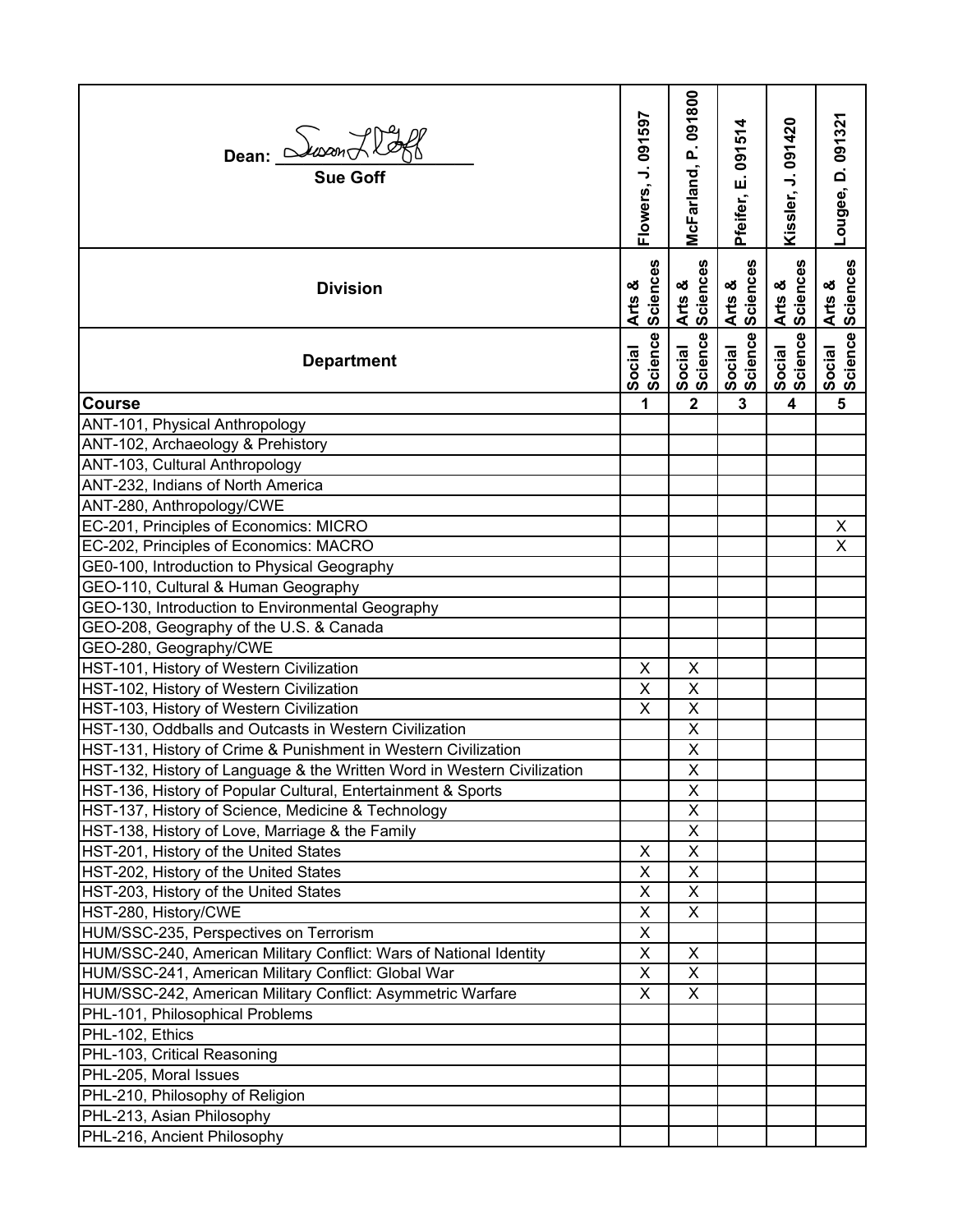| Dean: <i><u>Juson XII</u></i>                                           | Flowers, J. 091597        | McFarland, P. 091800      | Pfeifer, E. 091514 | Kissler, J. 091420      | Lougee, D. 091321         |
|-------------------------------------------------------------------------|---------------------------|---------------------------|--------------------|-------------------------|---------------------------|
| <b>Division</b>                                                         | <b>Sciences</b><br>Arts & | <b>Sciences</b><br>Arts & | Arts &<br>Sciences | Arts &<br>Sciences      | <b>Sciences</b><br>Arts & |
| <b>Department</b>                                                       | Social<br>Science         | Social<br>Science         | Social<br>Science  | Social<br>Science       | Social<br>Science         |
| <b>Course</b>                                                           | 1                         | $\mathbf{2}$              | 3                  | $\overline{\mathbf{4}}$ | 5                         |
| ANT-101, Physical Anthropology                                          |                           |                           |                    |                         |                           |
| ANT-102, Archaeology & Prehistory                                       |                           |                           |                    |                         |                           |
| ANT-103, Cultural Anthropology                                          |                           |                           |                    |                         |                           |
| ANT-232, Indians of North America                                       |                           |                           |                    |                         |                           |
| ANT-280, Anthropology/CWE                                               |                           |                           |                    |                         |                           |
| EC-201, Principles of Economics: MICRO                                  |                           |                           |                    |                         | X                         |
| EC-202, Principles of Economics: MACRO                                  |                           |                           |                    |                         | X                         |
| GE0-100, Introduction to Physical Geography                             |                           |                           |                    |                         |                           |
| GEO-110, Cultural & Human Geography                                     |                           |                           |                    |                         |                           |
| GEO-130, Introduction to Environmental Geography                        |                           |                           |                    |                         |                           |
| GEO-208, Geography of the U.S. & Canada                                 |                           |                           |                    |                         |                           |
| GEO-280, Geography/CWE                                                  |                           |                           |                    |                         |                           |
| HST-101, History of Western Civilization                                | X                         | X                         |                    |                         |                           |
| HST-102, History of Western Civilization                                | X                         | X                         |                    |                         |                           |
| HST-103, History of Western Civilization                                | X                         | X                         |                    |                         |                           |
| HST-130, Oddballs and Outcasts in Western Civilization                  |                           | $\sf X$                   |                    |                         |                           |
| HST-131, History of Crime & Punishment in Western Civilization          |                           | Χ                         |                    |                         |                           |
| HST-132, History of Language & the Written Word in Western Civilization |                           | $\mathsf{X}$              |                    |                         |                           |
| HST-136, History of Popular Cultural, Entertainment & Sports            |                           | X                         |                    |                         |                           |
| HST-137, History of Science, Medicine & Technology                      |                           | $\overline{\mathsf{x}}$   |                    |                         |                           |
| HST-138, History of Love, Marriage & the Family                         |                           | X                         |                    |                         |                           |
| HST-201, History of the United States                                   | X                         | X                         |                    |                         |                           |
| HST-202, History of the United States                                   | X                         | X                         |                    |                         |                           |
| HST-203, History of the United States                                   | X                         | X                         |                    |                         |                           |
| HST-280, History/CWE                                                    | X                         | X                         |                    |                         |                           |
| HUM/SSC-235, Perspectives on Terrorism                                  | X                         |                           |                    |                         |                           |
| HUM/SSC-240, American Military Conflict: Wars of National Identity      | X                         | X                         |                    |                         |                           |
| HUM/SSC-241, American Military Conflict: Global War                     | X                         | X                         |                    |                         |                           |
| HUM/SSC-242, American Military Conflict: Asymmetric Warfare             | X                         | X                         |                    |                         |                           |
| PHL-101, Philosophical Problems                                         |                           |                           |                    |                         |                           |
| PHL-102, Ethics                                                         |                           |                           |                    |                         |                           |
| PHL-103, Critical Reasoning                                             |                           |                           |                    |                         |                           |
| PHL-205, Moral Issues                                                   |                           |                           |                    |                         |                           |
| PHL-210, Philosophy of Religion                                         |                           |                           |                    |                         |                           |
| PHL-213, Asian Philosophy                                               |                           |                           |                    |                         |                           |
| PHL-216, Ancient Philosophy                                             |                           |                           |                    |                         |                           |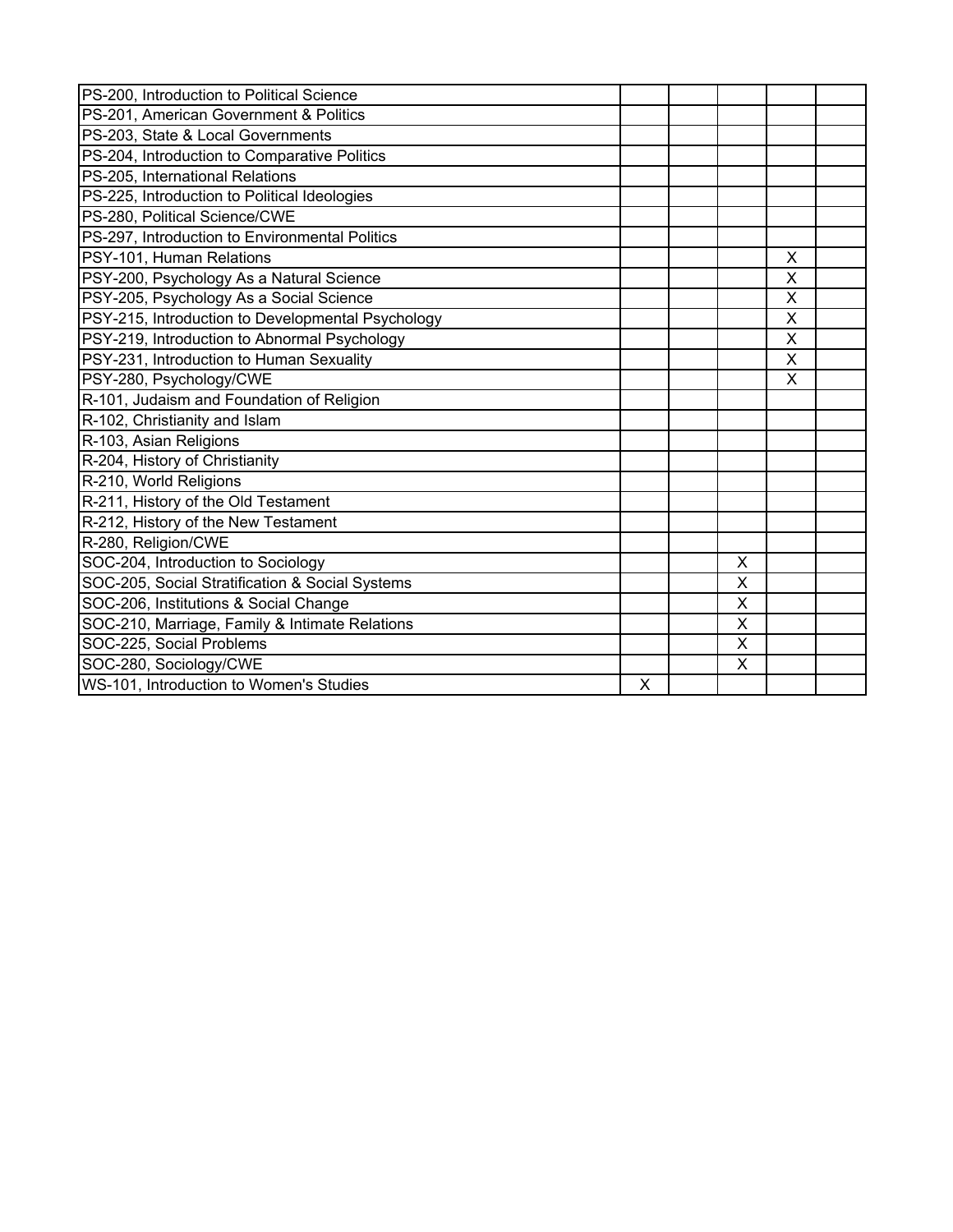| PS-200, Introduction to Political Science         |   |   |                         |  |
|---------------------------------------------------|---|---|-------------------------|--|
| PS-201, American Government & Politics            |   |   |                         |  |
| PS-203, State & Local Governments                 |   |   |                         |  |
| PS-204, Introduction to Comparative Politics      |   |   |                         |  |
| PS-205, International Relations                   |   |   |                         |  |
| PS-225, Introduction to Political Ideologies      |   |   |                         |  |
| PS-280, Political Science/CWE                     |   |   |                         |  |
| PS-297, Introduction to Environmental Politics    |   |   |                         |  |
| PSY-101, Human Relations                          |   |   | $\pmb{\times}$          |  |
| PSY-200, Psychology As a Natural Science          |   |   | $\overline{\mathsf{X}}$ |  |
| PSY-205, Psychology As a Social Science           |   |   | $\sf X$                 |  |
| PSY-215, Introduction to Developmental Psychology |   |   | $\overline{\mathsf{X}}$ |  |
| PSY-219, Introduction to Abnormal Psychology      |   |   | $\sf X$                 |  |
| PSY-231, Introduction to Human Sexuality          |   |   | X                       |  |
| PSY-280, Psychology/CWE                           |   |   | X                       |  |
| R-101, Judaism and Foundation of Religion         |   |   |                         |  |
| R-102, Christianity and Islam                     |   |   |                         |  |
| R-103, Asian Religions                            |   |   |                         |  |
| R-204, History of Christianity                    |   |   |                         |  |
| R-210, World Religions                            |   |   |                         |  |
| R-211, History of the Old Testament               |   |   |                         |  |
| R-212, History of the New Testament               |   |   |                         |  |
| R-280, Religion/CWE                               |   |   |                         |  |
| SOC-204, Introduction to Sociology                |   | X |                         |  |
| SOC-205, Social Stratification & Social Systems   |   | X |                         |  |
| SOC-206, Institutions & Social Change             |   | X |                         |  |
| SOC-210, Marriage, Family & Intimate Relations    |   | X |                         |  |
| SOC-225, Social Problems                          |   | X |                         |  |
| SOC-280, Sociology/CWE                            |   | X |                         |  |
| WS-101, Introduction to Women's Studies           | X |   |                         |  |